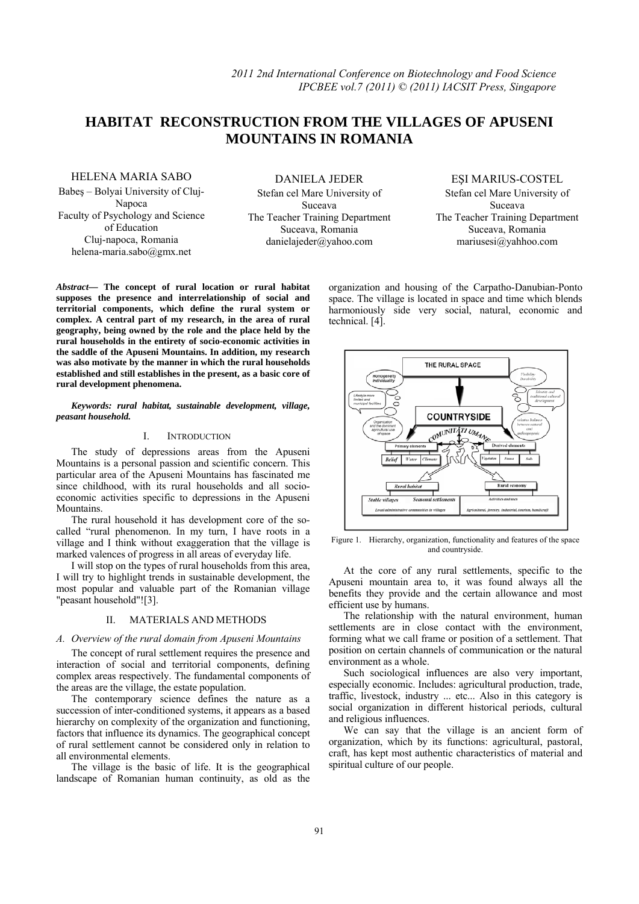# **HABITAT RECONSTRUCTION FROM THE VILLAGES OF APUSENI**   **MOUNTAINS IN ROMANIA**

HELENA MARIA SABO

Babeş – Bolyai University of Cluj-Napoca Faculty of Psychology and Science of Education Cluj-napoca, Romania helena-maria.sabo@gmx.net

DANIELA JEDER Stefan cel Mare University of Suceava The Teacher Training Department Suceava, Romania danielajeder@yahoo.com

# EŞI MARIUS-COSTEL

Stefan cel Mare University of Suceava The Teacher Training Department Suceava, Romania mariusesi@yahhoo.com

*Abstract***— The concept of rural location or rural habitat supposes the presence and interrelationship of social and territorial components, which define the rural system or complex. A central part of my research, in the area of rural geography, being owned by the role and the place held by the rural households in the entirety of socio-economic activities in the saddle of the Apuseni Mountains. In addition, my research was also motivate by the manner in which the rural households established and still establishes in the present, as a basic core of rural development phenomena.** 

*Keywords: rural habitat, sustainable development, village, peasant household.* 

#### I. INTRODUCTION

The study of depressions areas from the Apuseni Mountains is a personal passion and scientific concern. This particular area of the Apuseni Mountains has fascinated me since childhood, with its rural households and all socioeconomic activities specific to depressions in the Apuseni Mountains.

The rural household it has development core of the socalled "rural phenomenon. In my turn, I have roots in a village and I think without exaggeration that the village is marked valences of progress in all areas of everyday life.

I will stop on the types of rural households from this area, I will try to highlight trends in sustainable development, the most popular and valuable part of the Romanian village "peasant household"![3].

#### II. MATERIALS AND METHODS

### *A. Overview of the rural domain from Apuseni Mountains*

The concept of rural settlement requires the presence and interaction of social and territorial components, defining complex areas respectively. The fundamental components of the areas are the village, the estate population.

The contemporary science defines the nature as a succession of inter-conditioned systems, it appears as a based hierarchy on complexity of the organization and functioning, factors that influence its dynamics. The geographical concept of rural settlement cannot be considered only in relation to all environmental elements.

The village is the basic of life. It is the geographical landscape of Romanian human continuity, as old as the organization and housing of the Carpatho-Danubian-Ponto space. The village is located in space and time which blends harmoniously side very social, natural, economic and technical. [4].



Figure 1. Hierarchy, organization, functionality and features of the space and countryside.

At the core of any rural settlements, specific to the Apuseni mountain area to, it was found always all the benefits they provide and the certain allowance and most efficient use by humans.

The relationship with the natural environment, human settlements are in close contact with the environment, forming what we call frame or position of a settlement. That position on certain channels of communication or the natural environment as a whole.

Such sociological influences are also very important, especially economic. Includes: agricultural production, trade, traffic, livestock, industry ... etc... Also in this category is social organization in different historical periods, cultural and religious influences.

We can say that the village is an ancient form of organization, which by its functions: agricultural, pastoral, craft, has kept most authentic characteristics of material and spiritual culture of our people.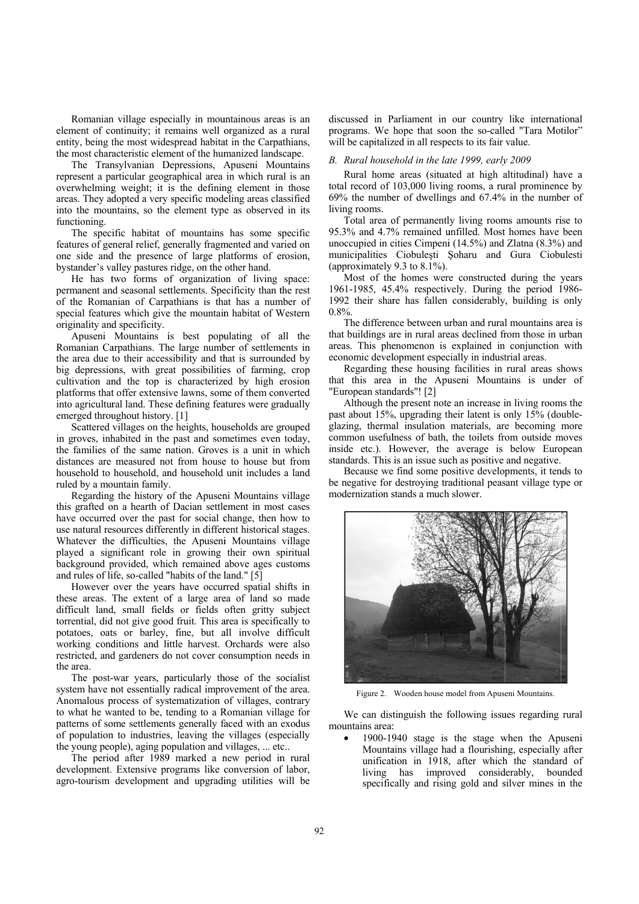Romanian village especially in mountainous areas is an element of continuity; it remains well organized as a rural entity, being the most widespread habitat in the Carpathians, the most characteristic element of the humanized landscape.

The Transylvanian Depressions, Apuseni Mountains represent a particular geographical area in which rural is an overwhelming weight; it is the defining element in those areas. They adopted a very specific modeling areas classified into the mountains, so the element type as observed in its functioning.

The specific habitat of mountains has some specific features of general relief, generally fragmented and varied on one side and the presence of large platforms of erosion, bystander's valley pastures ridge, on the other hand.

He has two forms of organization of living space: permanent and seasonal settlements. Specificity than the rest of the Romanian of Carpathians is that has a number of special features which give the mountain habitat of Western originality and specificity.

Apuseni Mountains is best populating of all the Romanian Carpathians. The large number of settlements in the area due to their accessibility and that is surrounded by big depressions, with great possibilities of farming, crop cultivation and the top is characterized by high erosion platforms that offer extensive lawns, some of them converted into agricultural land. These defining features were gradually emerged throughout history. [1]

Scattered villages on the heights, households are grouped in groves, inhabited in the past and sometimes even today, the families of the same nation. Groves is a unit in which distances are measured not from house to house but from household to household, and household unit includes a land ruled by a mountain family.

Regarding the history of the Apuseni Mountains village this grafted on a hearth of Dacian settlement in most cases have occurred over the past for social change, then how to use natural resources differently in different historical stages. Whatever the difficulties, the Apuseni Mountains village played a significant role in growing their own spiritual background p provided, whi ch remained above ages c ustoms and rules of life, so-called "habits of the land." [5]

However over the years have occurred spatial shifts in these areas. The extent of a large area of land so made difficult land, small fields or fields often gritty subject torrential, did not give good fruit. This area is specifically to potatoes, oats or barley, fine, but all involve difficult working conditions and little harvest. Orchards were also restricted, and gardeners do not cover consumption needs in the area.

The post-war years, particularly those of the socialist system have not essentially radical improvement of the area. Anomalous process of systematization of villages, contrary to what he wanted to be, tending to a Romanian village for patterns of some settlements generally faced with an exodus of population to industries, leaving the villages (especially the young people), aging population and villages, ... etc..

The period after 1989 marked a new period in rural development. Extensive programs like conversion of labor, agro-tourism development and upgrading utilities will be discussed in Parliament in our country like international programs. We hope that soon the so-called "Tara Motilor" will be capitalized in all respects to its fair value.

### *B.* Rural household in the late 1999, early 2009

total record of 103,000 living rooms, a rural prominence by 69 9% the numbe er of dwelling gs and 67.4% % in the numb ber of living rooms. Rural home areas (situated at high altitudinal) have a

95.3% and 4.7% remained unfilled. Most homes have been unoccupied in cities Cimpeni (14.5%) and Zlatna (8.3%) and municipalities Ciobulești Șoharu and Gura Ciobulesti (a approximately 9.3 to 8.1%). Total area of permanently living rooms amounts rise to

1961-1985, 45.4% respectively. During the period 1986-1992 their share has fallen considerably, building is only 0. 8%. Most of the homes were constructed during the years

that buildings are in rural areas declined from those in urban areas. This phenomenon is explained in conjunction with economic development especially in industrial areas. The difference between urban and rural mountains area is

that this area in the Apuseni Mountains is under of "E European stand dards"! [2] Regarding these housing facilities in rural areas shows

past about 15%, upgrading their latent is only 15% (doubleglazing, thermal insulation materials, are becoming more common usefulness of bath, the toilets from outside moves inside etc.). However, the average is below European standards. This is an issue such as positive and negative. Although the present note an increase in living rooms the

be negative for destroying traditional peasant village type or modernization stands a much slower. Because we find some positive developments, it tends to



Figure 2. Wooden house model from Apuseni Mountains.

mountains area: We can distinguish the following issues regarding rural

• 1900-1940 stage is the stage when the Apuseni Mountains village had a flourishing, especially after unification in 1918, after which the standard of living has improved considerably, bounded specifically and rising gold and silver mines in the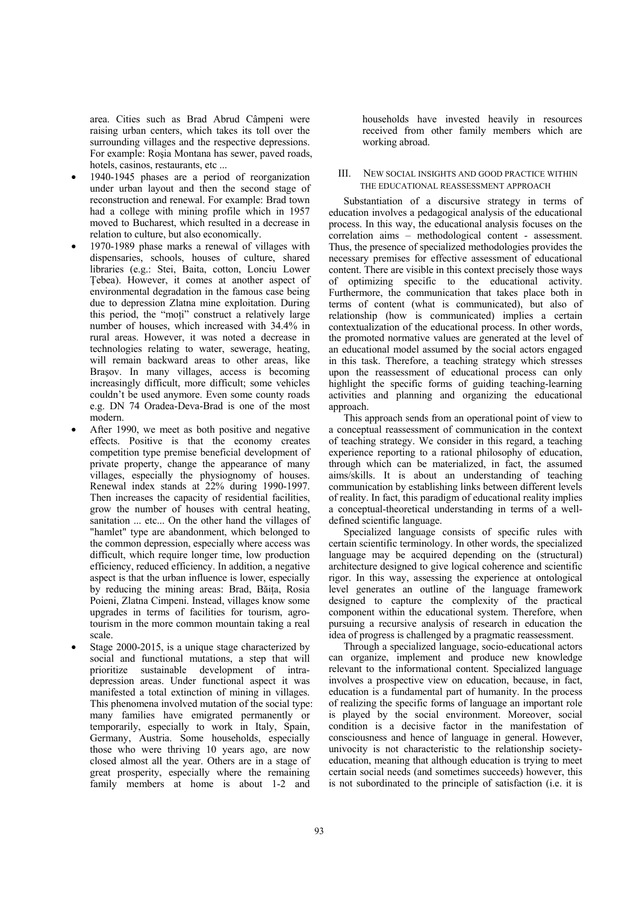area. Cities such as Brad Abrud Câmpeni were raising urban centers, which takes its toll over the surrounding villages and the respective depressions. For example: Roşia Montana has sewer, paved roads, hotels, casinos, restaurants, etc ...

- 1940-1945 phases are a period of reorganization under urban layout and then the second stage of reconstruction and renewal. For example: Brad town had a college with mining profile which in 1957 moved to Bucharest, which resulted in a decrease in relation to culture, but also economically.
- 1970-1989 phase marks a renewal of villages with dispensaries, schools, houses of culture, shared libraries (e.g.: Stei, Baita, cotton, Lonciu Lower Ţebea). However, it comes at another aspect of environmental degradation in the famous case being due to depression Zlatna mine exploitation. During this period, the "moţi" construct a relatively large number of houses, which increased with 34.4% in rural areas. However, it was noted a decrease in technologies relating to water, sewerage, heating, will remain backward areas to other areas, like Brasov. In many villages, access is becoming increasingly difficult, more difficult; some vehicles couldn't be used anymore. Even some county roads e.g. DN 74 Oradea-Deva-Brad is one of the most modern.
- After 1990, we meet as both positive and negative effects. Positive is that the economy creates competition type premise beneficial development of private property, change the appearance of many villages, especially the physiognomy of houses. Renewal index stands at 22% during 1990-1997. Then increases the capacity of residential facilities, grow the number of houses with central heating, sanitation ... etc... On the other hand the villages of "hamlet" type are abandonment, which belonged to the common depression, especially where access was difficult, which require longer time, low production efficiency, reduced efficiency. In addition, a negative aspect is that the urban influence is lower, especially by reducing the mining areas: Brad, Băiţa, Rosia Poieni, Zlatna Cimpeni. Instead, villages know some upgrades in terms of facilities for tourism, agrotourism in the more common mountain taking a real scale.
- Stage 2000-2015, is a unique stage characterized by social and functional mutations, a step that will prioritize sustainable development of intradepression areas. Under functional aspect it was manifested a total extinction of mining in villages. This phenomena involved mutation of the social type: many families have emigrated permanently or temporarily, especially to work in Italy, Spain, Germany, Austria. Some households, especially those who were thriving 10 years ago, are now closed almost all the year. Others are in a stage of great prosperity, especially where the remaining family members at home is about 1-2 and

households have invested heavily in resources received from other family members which are working abroad.

## III. NEW SOCIAL INSIGHTS AND GOOD PRACTICE WITHIN THE EDUCATIONAL REASSESSMENT APPROACH

Substantiation of a discursive strategy in terms of education involves a pedagogical analysis of the educational process. In this way, the educational analysis focuses on the correlation aims – methodological content - assessment. Thus, the presence of specialized methodologies provides the necessary premises for effective assessment of educational content. There are visible in this context precisely those ways of optimizing specific to the educational activity. Furthermore, the communication that takes place both in terms of content (what is communicated), but also of relationship (how is communicated) implies a certain contextualization of the educational process. In other words, the promoted normative values are generated at the level of an educational model assumed by the social actors engaged in this task. Therefore, a teaching strategy which stresses upon the reassessment of educational process can only highlight the specific forms of guiding teaching-learning activities and planning and organizing the educational approach.

This approach sends from an operational point of view to a conceptual reassessment of communication in the context of teaching strategy. We consider in this regard, a teaching experience reporting to a rational philosophy of education, through which can be materialized, in fact, the assumed aims/skills. It is about an understanding of teaching communication by establishing links between different levels of reality. In fact, this paradigm of educational reality implies a conceptual-theoretical understanding in terms of a welldefined scientific language.

Specialized language consists of specific rules with certain scientific terminology. In other words, the specialized language may be acquired depending on the (structural) architecture designed to give logical coherence and scientific rigor. In this way, assessing the experience at ontological level generates an outline of the language framework designed to capture the complexity of the practical component within the educational system. Therefore, when pursuing a recursive analysis of research in education the idea of progress is challenged by a pragmatic reassessment.

Through a specialized language, socio-educational actors can organize, implement and produce new knowledge relevant to the informational content. Specialized language involves a prospective view on education, because, in fact, education is a fundamental part of humanity. In the process of realizing the specific forms of language an important role is played by the social environment. Moreover, social condition is a decisive factor in the manifestation of consciousness and hence of language in general. However, univocity is not characteristic to the relationship societyeducation, meaning that although education is trying to meet certain social needs (and sometimes succeeds) however, this is not subordinated to the principle of satisfaction (i.e. it is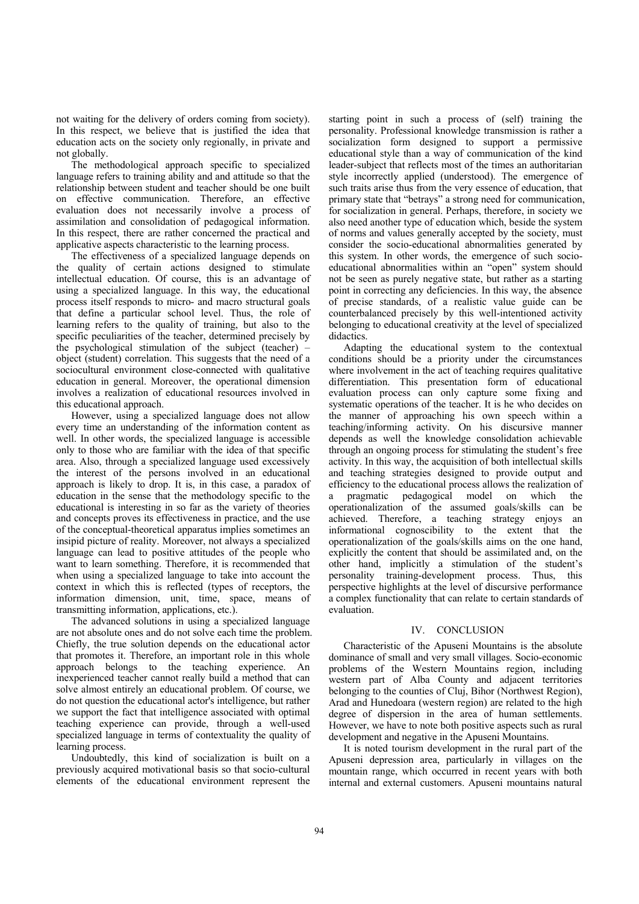not waiting for the delivery of orders coming from society). In this respect, we believe that is justified the idea that education acts on the society only regionally, in private and not globally.

The methodological approach specific to specialized language refers to training ability and and attitude so that the relationship between student and teacher should be one built on effective communication. Therefore, an effective evaluation does not necessarily involve a process of assimilation and consolidation of pedagogical information. In this respect, there are rather concerned the practical and applicative aspects characteristic to the learning process.

The effectiveness of a specialized language depends on the quality of certain actions designed to stimulate intellectual education. Of course, this is an advantage of using a specialized language. In this way, the educational process itself responds to micro- and macro structural goals that define a particular school level. Thus, the role of learning refers to the quality of training, but also to the specific peculiarities of the teacher, determined precisely by the psychological stimulation of the subject (teacher) – object (student) correlation. This suggests that the need of a sociocultural environment close-connected with qualitative education in general. Moreover, the operational dimension involves a realization of educational resources involved in this educational approach.

However, using a specialized language does not allow every time an understanding of the information content as well. In other words, the specialized language is accessible only to those who are familiar with the idea of that specific area. Also, through a specialized language used excessively the interest of the persons involved in an educational approach is likely to drop. It is, in this case, a paradox of education in the sense that the methodology specific to the educational is interesting in so far as the variety of theories and concepts proves its effectiveness in practice, and the use of the conceptual-theoretical apparatus implies sometimes an insipid picture of reality. Moreover, not always a specialized language can lead to positive attitudes of the people who want to learn something. Therefore, it is recommended that when using a specialized language to take into account the context in which this is reflected (types of receptors, the information dimension, unit, time, space, means of transmitting information, applications, etc.).

The advanced solutions in using a specialized language are not absolute ones and do not solve each time the problem. Chiefly, the true solution depends on the educational actor that promotes it. Therefore, an important role in this whole approach belongs to the teaching experience. An inexperienced teacher cannot really build a method that can solve almost entirely an educational problem. Of course, we do not question the educational actor's intelligence, but rather we support the fact that intelligence associated with optimal teaching experience can provide, through a well-used specialized language in terms of contextuality the quality of learning process.

Undoubtedly, this kind of socialization is built on a previously acquired motivational basis so that socio-cultural elements of the educational environment represent the

starting point in such a process of (self) training the personality. Professional knowledge transmission is rather a socialization form designed to support a permissive educational style than a way of communication of the kind leader-subject that reflects most of the times an authoritarian style incorrectly applied (understood). The emergence of such traits arise thus from the very essence of education, that primary state that "betrays" a strong need for communication, for socialization in general. Perhaps, therefore, in society we also need another type of education which, beside the system of norms and values generally accepted by the society, must consider the socio-educational abnormalities generated by this system. In other words, the emergence of such socioeducational abnormalities within an "open" system should not be seen as purely negative state, but rather as a starting point in correcting any deficiencies. In this way, the absence of precise standards, of a realistic value guide can be counterbalanced precisely by this well-intentioned activity belonging to educational creativity at the level of specialized didactics.

Adapting the educational system to the contextual conditions should be a priority under the circumstances where involvement in the act of teaching requires qualitative differentiation. This presentation form of educational evaluation process can only capture some fixing and systematic operations of the teacher. It is he who decides on the manner of approaching his own speech within a teaching/informing activity. On his discursive manner depends as well the knowledge consolidation achievable through an ongoing process for stimulating the student's free activity. In this way, the acquisition of both intellectual skills and teaching strategies designed to provide output and efficiency to the educational process allows the realization of a pragmatic pedagogical model on which the operationalization of the assumed goals/skills can be achieved. Therefore, a teaching strategy enjoys an informational cognoscibility to the extent that the operationalization of the goals/skills aims on the one hand, explicitly the content that should be assimilated and, on the other hand, implicitly a stimulation of the student's personality training-development process. Thus, this perspective highlights at the level of discursive performance a complex functionality that can relate to certain standards of evaluation.

# IV. CONCLUSION

Characteristic of the Apuseni Mountains is the absolute dominance of small and very small villages. Socio-economic problems of the Western Mountains region, including western part of Alba County and adjacent territories belonging to the counties of Cluj, Bihor (Northwest Region), Arad and Hunedoara (western region) are related to the high degree of dispersion in the area of human settlements. However, we have to note both positive aspects such as rural development and negative in the Apuseni Mountains.

It is noted tourism development in the rural part of the Apuseni depression area, particularly in villages on the mountain range, which occurred in recent years with both internal and external customers. Apuseni mountains natural